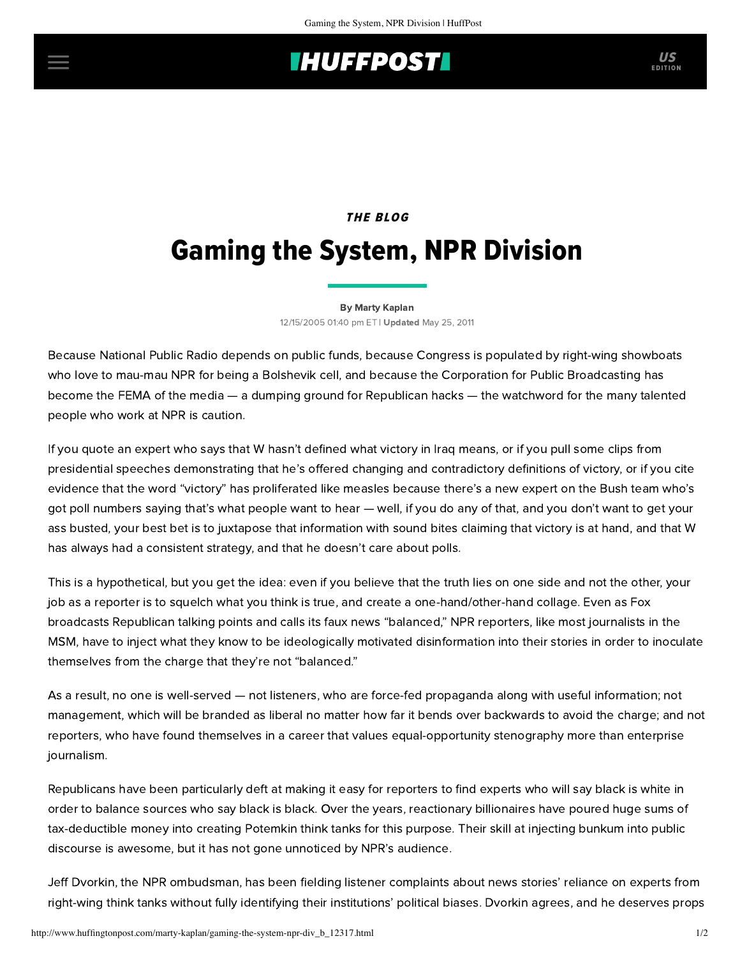## **IHUFFPOSTI** US

## **THE BLOG**

# Gaming the System, NPR Division

#### [By Marty Kaplan](http://www.huffingtonpost.com/author/marty-kaplan)

12/15/2005 01:40 pm ET | Updated May 25, 2011

Because National Public Radio depends on public funds, because Congress is populated by right-wing showboats who love to mau-mau NPR for being a Bolshevik cell, and because the Corporation for Public Broadcasting has become the FEMA of the media — a dumping ground for Republican hacks — the watchword for the many talented people who work at NPR is caution.

If you quote an expert who says that W hasn't defined what victory in Iraq means, or if you pull some clips from presidential speeches demonstrating that he's offered changing and contradictory definitions of victory, or if you cite evidence that the word "victory" has proliferated like measles because there's a new expert on the Bush team who's got poll numbers saying that's what people want to hear — well, if you do any of that, and you don't want to get your ass busted, your best bet is to juxtapose that information with sound bites claiming that victory is at hand, and that W has always had a consistent strategy, and that he doesn't care about polls.

This is a hypothetical, but you get the idea: even if you believe that the truth lies on one side and not the other, your job as a reporter is to squelch what you think is true, and create a one-hand/other-hand collage. Even as Fox broadcasts Republican talking points and calls its faux news "balanced," NPR reporters, like most journalists in the MSM, have to inject what they know to be ideologically motivated disinformation into their stories in order to inoculate themselves from the charge that they're not "balanced."

As a result, no one is well-served — not listeners, who are force-fed propaganda along with useful information; not management, which will be branded as liberal no matter how far it bends over backwards to avoid the charge; and not reporters, who have found themselves in a career that values equal-opportunity stenography more than enterprise journalism.

Republicans have been particularly deft at making it easy for reporters to find experts who will say black is white in order to balance sources who say black is black. Over the years, reactionary billionaires have poured huge sums of tax-deductible money into creating Potemkin think tanks for this purpose. Their skill at injecting bunkum into public discourse is awesome, but it has not gone unnoticed by NPR's audience.

[Jeff Dvorkin](http://www.npr.org/templates/story/story.php?storyId=5053335), the NPR ombudsman, has been fielding listener complaints about news stories' reliance on experts from right-wing think tanks without fully identifying their institutions' political biases. Dvorkin agrees, and he deserves props